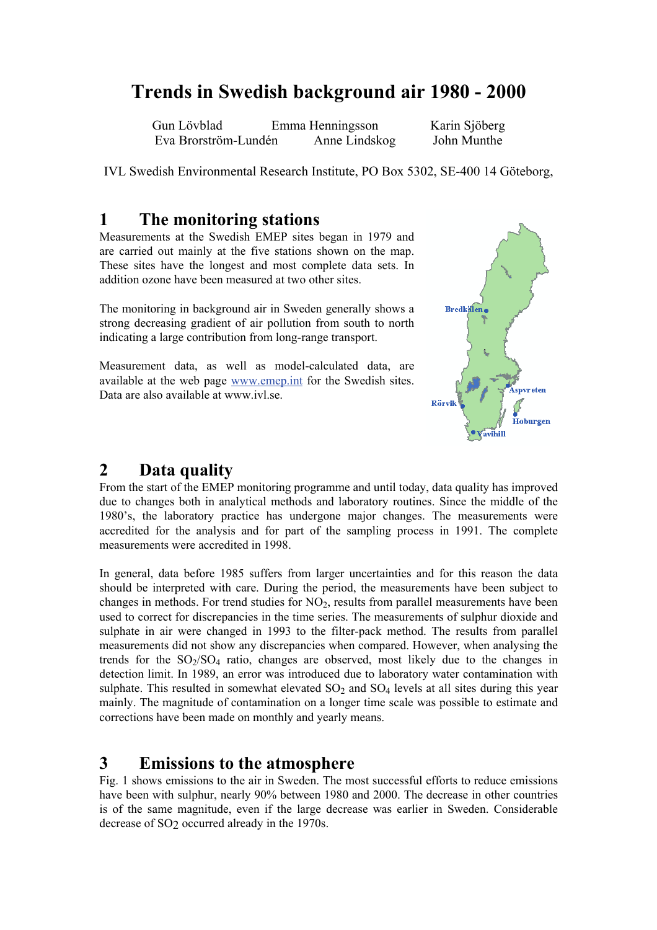# **Trends in Swedish background air 1980 - 2000**

Gun Lövblad Emma Henningsson Karin Sjöberg Eva Brorström-Lundén Anne Lindskog John Munthe

IVL Swedish Environmental Research Institute, PO Box 5302, SE-400 14 Göteborg,

### **1 The monitoring stations**

Measurements at the Swedish EMEP sites began in 1979 and are carried out mainly at the five stations shown on the map. These sites have the longest and most complete data sets. In addition ozone have been measured at two other sites.

The monitoring in background air in Sweden generally shows a strong decreasing gradient of air pollution from south to north indicating a large contribution from long-range transport.

Measurement data, as well as model-calculated data, are available at the web page www.emep.int for the Swedish sites. Data are also available at www.jvl.se.



# **2 Data quality**

From the start of the EMEP monitoring programme and until today, data quality has improved due to changes both in analytical methods and laboratory routines. Since the middle of the 1980's, the laboratory practice has undergone major changes. The measurements were accredited for the analysis and for part of the sampling process in 1991. The complete measurements were accredited in 1998.

In general, data before 1985 suffers from larger uncertainties and for this reason the data should be interpreted with care. During the period, the measurements have been subject to changes in methods. For trend studies for  $NO<sub>2</sub>$ , results from parallel measurements have been used to correct for discrepancies in the time series. The measurements of sulphur dioxide and sulphate in air were changed in 1993 to the filter-pack method. The results from parallel measurements did not show any discrepancies when compared. However, when analysing the trends for the  $SO<sub>2</sub>/SO<sub>4</sub>$  ratio, changes are observed, most likely due to the changes in detection limit. In 1989, an error was introduced due to laboratory water contamination with sulphate. This resulted in somewhat elevated  $SO_2$  and  $SO_4$  levels at all sites during this year mainly. The magnitude of contamination on a longer time scale was possible to estimate and corrections have been made on monthly and yearly means.

## **3 Emissions to the atmosphere**

Fig. 1 shows emissions to the air in Sweden. The most successful efforts to reduce emissions have been with sulphur, nearly 90% between 1980 and 2000. The decrease in other countries is of the same magnitude, even if the large decrease was earlier in Sweden. Considerable decrease of SO2 occurred already in the 1970s.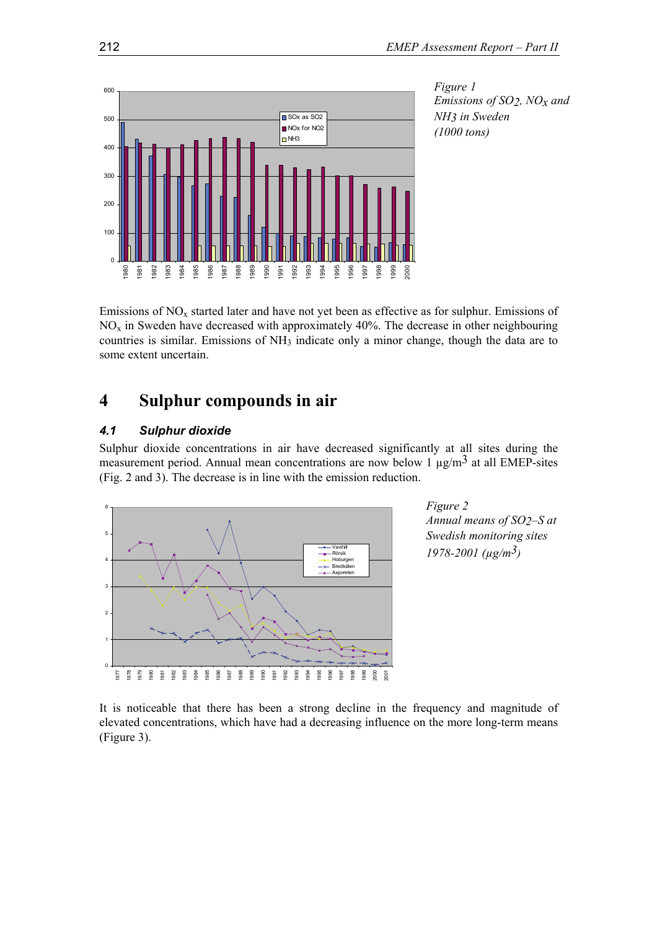

*Figure 1 Emissions of SO2, NOx and NH3 in Sweden (1000 tons)*

Emissions of  $NO<sub>x</sub>$  started later and have not yet been as effective as for sulphur. Emissions of  $NO<sub>x</sub>$  in Sweden have decreased with approximately 40%. The decrease in other neighbouring countries is similar. Emissions of NH3 indicate only a minor change, though the data are to some extent uncertain.

## **4 Sulphur compounds in air**

#### *4.1 Sulphur dioxide*

Sulphur dioxide concentrations in air have decreased significantly at all sites during the measurement period. Annual mean concentrations are now below 1  $\mu$ g/m<sup>3</sup> at all EMEP-sites (Fig. 2 and 3). The decrease is in line with the emission reduction.



*Figure 2 Annual means of SO2–S at Swedish monitoring sites 1978-2001 (µg/m3)*

It is noticeable that there has been a strong decline in the frequency and magnitude of elevated concentrations, which have had a decreasing influence on the more long-term means (Figure 3).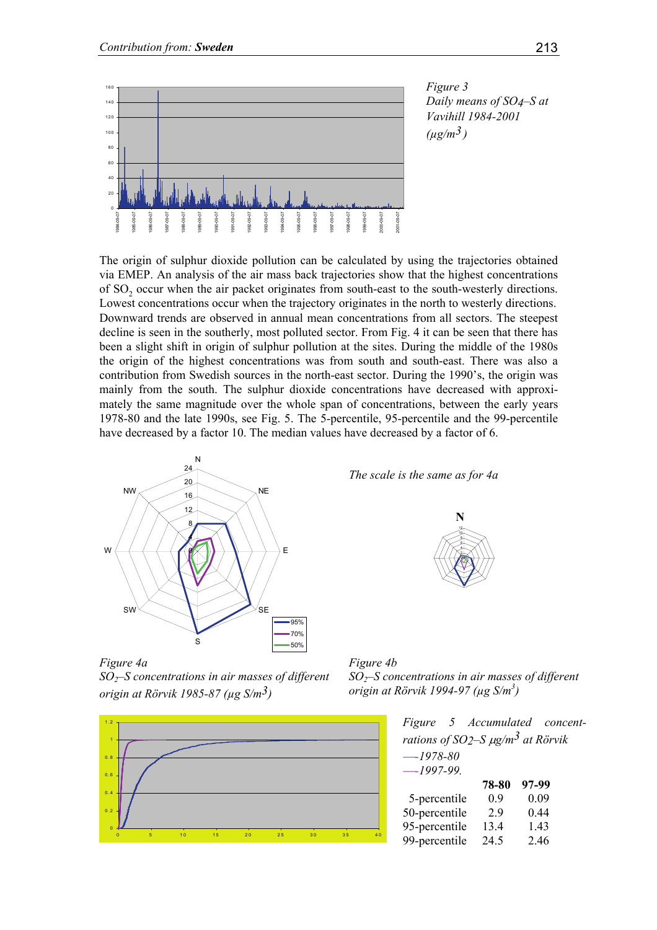

*Figure 3 Daily means of SO4–S at Vavihill 1984-2001*   $(\mu g/m^3)$ 

The origin of sulphur dioxide pollution can be calculated by using the trajectories obtained via EMEP. An analysis of the air mass back trajectories show that the highest concentrations of SO<sub>2</sub> occur when the air packet originates from south-east to the south-westerly directions. Lowest concentrations occur when the trajectory originates in the north to westerly directions. Downward trends are observed in annual mean concentrations from all sectors. The steepest decline is seen in the southerly, most polluted sector. From Fig. 4 it can be seen that there has been a slight shift in origin of sulphur pollution at the sites. During the middle of the 1980s the origin of the highest concentrations was from south and south-east. There was also a contribution from Swedish sources in the north-east sector. During the 1990's, the origin was mainly from the south. The sulphur dioxide concentrations have decreased with approximately the same magnitude over the whole span of concentrations, between the early years 1978-80 and the late 1990s, see Fig. 5. The 5-percentile, 95-percentile and the 99-percentile have decreased by a factor 10. The median values have decreased by a factor of 6.



*Figure 4a SO2–S concentrations in air masses of different origin at Rörvik 1985-87 (µg S/m3)*



*The scale is the same as for 4a*





| Figure 5 Accumulated concent-                                  |       |       |  |
|----------------------------------------------------------------|-------|-------|--|
| rations of SO <sub>2</sub> -S $\mu$ g/m <sup>3</sup> at Rörvik |       |       |  |
| $-1978-80$                                                     |       |       |  |
| $-1997-99$ .                                                   |       |       |  |
|                                                                | 78-80 | 97-99 |  |
| 5-percentile                                                   | 0.9   | 0.09  |  |
| 50-percentile                                                  | 29    | 0.44  |  |
| 95-percentile                                                  | 13.4  | 1.43  |  |
| 99-percentile                                                  | 24.5  | 2.46  |  |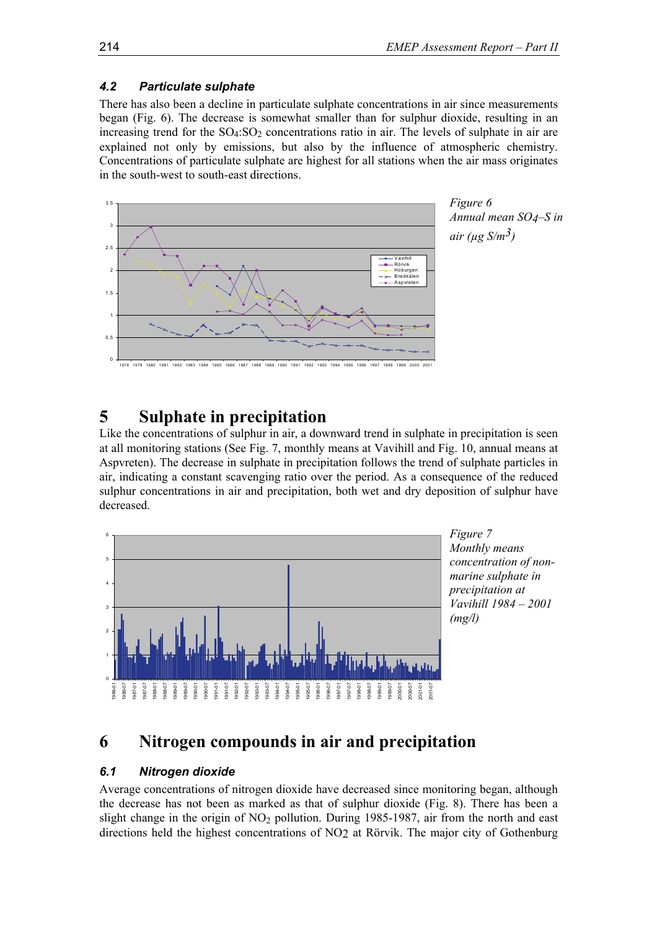#### *4.2 Particulate sulphate*

There has also been a decline in particulate sulphate concentrations in air since measurements began (Fig. 6). The decrease is somewhat smaller than for sulphur dioxide, resulting in an increasing trend for the  $SO_4$ : $SO_2$  concentrations ratio in air. The levels of sulphate in air are explained not only by emissions, but also by the influence of atmospheric chemistry. Concentrations of particulate sulphate are highest for all stations when the air mass originates in the south-west to south-east directions.



*Figure 6 Annual mean SO4–S in air (µg S/m3)*

# **5 Sulphate in precipitation**

Like the concentrations of sulphur in air, a downward trend in sulphate in precipitation is seen at all monitoring stations (See Fig. 7, monthly means at Vavihill and Fig. 10, annual means at Aspvreten). The decrease in sulphate in precipitation follows the trend of sulphate particles in air, indicating a constant scavenging ratio over the period. As a consequence of the reduced sulphur concentrations in air and precipitation, both wet and dry deposition of sulphur have decreased.



# *Monthly means concentration of nonmarine sulphate in precipitation at Vavihill 1984 – 2001*

## **6 Nitrogen compounds in air and precipitation**

#### *6.1 Nitrogen dioxide*

Average concentrations of nitrogen dioxide have decreased since monitoring began, although the decrease has not been as marked as that of sulphur dioxide (Fig. 8). There has been a slight change in the origin of  $NO<sub>2</sub>$  pollution. During 1985-1987, air from the north and east directions held the highest concentrations of NO2 at Rörvik. The major city of Gothenburg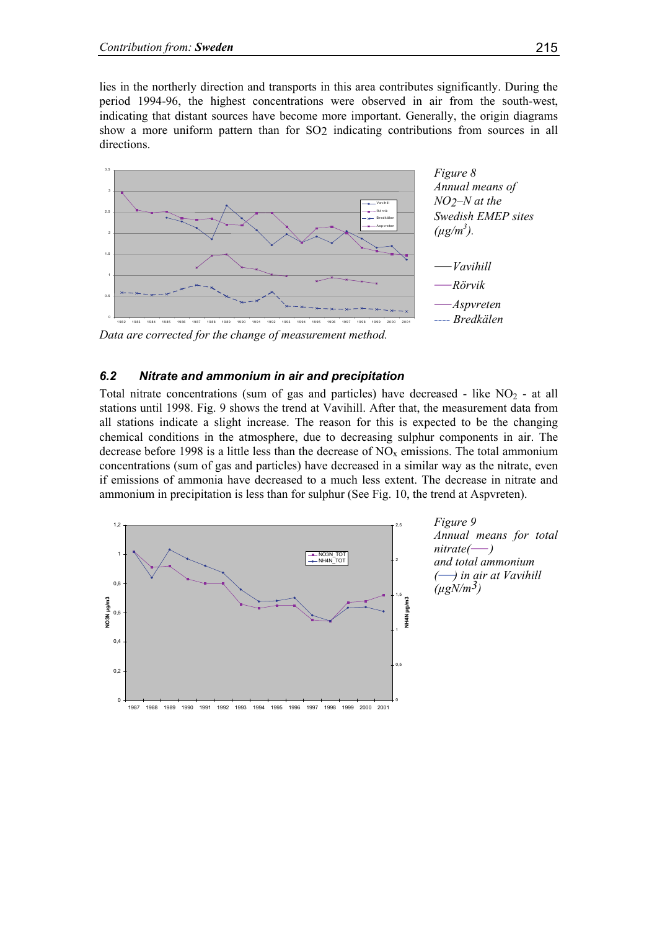lies in the northerly direction and transports in this area contributes significantly. During the period 1994-96, the highest concentrations were observed in air from the south-west, indicating that distant sources have become more important. Generally, the origin diagrams show a more uniform pattern than for SO2 indicating contributions from sources in all directions.



*Data are corrected for the change of measurement method.* 

#### *6.2 Nitrate and ammonium in air and precipitation*

Total nitrate concentrations (sum of gas and particles) have decreased - like  $NO<sub>2</sub>$  - at all stations until 1998. Fig. 9 shows the trend at Vavihill. After that, the measurement data from all stations indicate a slight increase. The reason for this is expected to be the changing chemical conditions in the atmosphere, due to decreasing sulphur components in air. The decrease before 1998 is a little less than the decrease of  $NO<sub>x</sub>$  emissions. The total ammonium concentrations (sum of gas and particles) have decreased in a similar way as the nitrate, even if emissions of ammonia have decreased to a much less extent. The decrease in nitrate and ammonium in precipitation is less than for sulphur (See Fig. 10, the trend at Aspvreten).

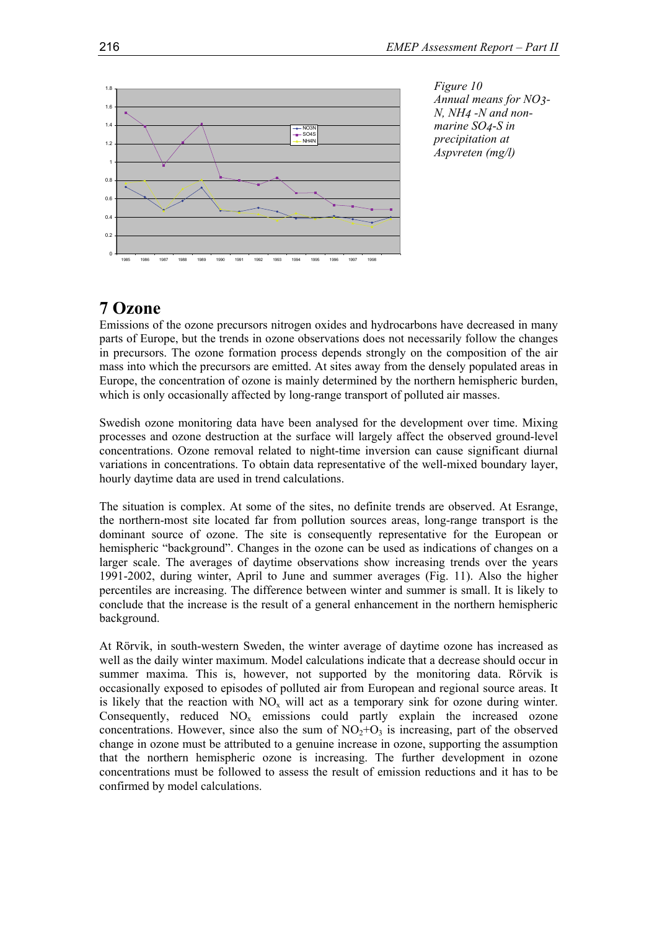

*Figure 10 Annual means for NO3- N, NH4 -N and nonmarine SO4*-*S in precipitation at Aspvreten (mg/l)* 

### **7 Ozone**

Emissions of the ozone precursors nitrogen oxides and hydrocarbons have decreased in many parts of Europe, but the trends in ozone observations does not necessarily follow the changes in precursors. The ozone formation process depends strongly on the composition of the air mass into which the precursors are emitted. At sites away from the densely populated areas in Europe, the concentration of ozone is mainly determined by the northern hemispheric burden, which is only occasionally affected by long-range transport of polluted air masses.

Swedish ozone monitoring data have been analysed for the development over time. Mixing processes and ozone destruction at the surface will largely affect the observed ground-level concentrations. Ozone removal related to night-time inversion can cause significant diurnal variations in concentrations. To obtain data representative of the well-mixed boundary layer, hourly daytime data are used in trend calculations.

The situation is complex. At some of the sites, no definite trends are observed. At Esrange, the northern-most site located far from pollution sources areas, long-range transport is the dominant source of ozone. The site is consequently representative for the European or hemispheric "background". Changes in the ozone can be used as indications of changes on a larger scale. The averages of daytime observations show increasing trends over the years 1991-2002, during winter, April to June and summer averages (Fig. 11). Also the higher percentiles are increasing. The difference between winter and summer is small. It is likely to conclude that the increase is the result of a general enhancement in the northern hemispheric background.

At Rörvik, in south-western Sweden, the winter average of daytime ozone has increased as well as the daily winter maximum. Model calculations indicate that a decrease should occur in summer maxima. This is, however, not supported by the monitoring data. Rörvik is occasionally exposed to episodes of polluted air from European and regional source areas. It is likely that the reaction with  $NO<sub>x</sub>$  will act as a temporary sink for ozone during winter. Consequently, reduced  $NO<sub>x</sub>$  emissions could partly explain the increased ozone concentrations. However, since also the sum of  $NO<sub>2</sub>+O<sub>3</sub>$  is increasing, part of the observed change in ozone must be attributed to a genuine increase in ozone, supporting the assumption that the northern hemispheric ozone is increasing. The further development in ozone concentrations must be followed to assess the result of emission reductions and it has to be confirmed by model calculations.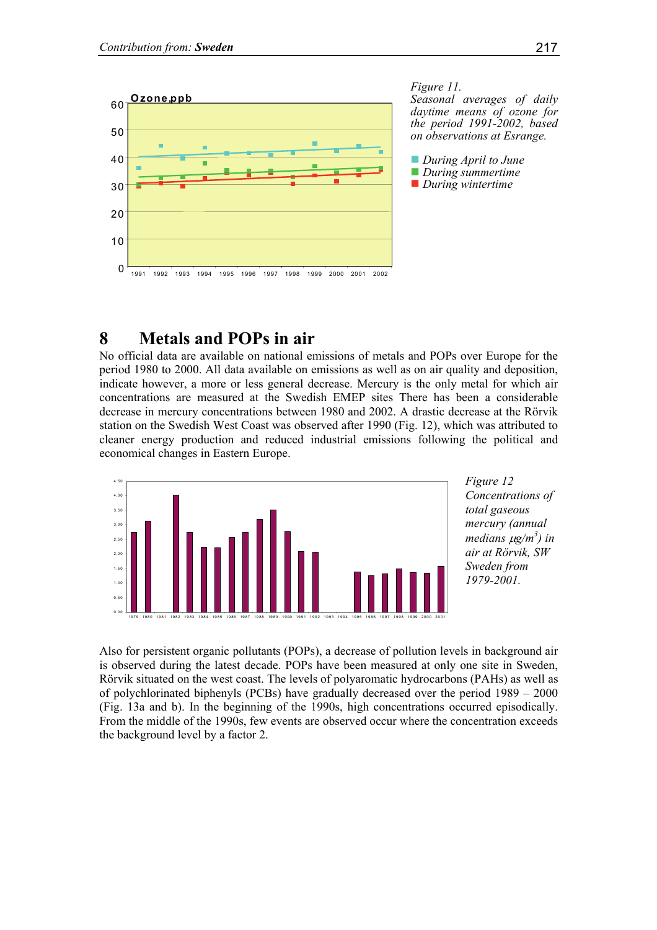

*Figure 11. Seasonal averages of daily daytime means of ozone for the period 1991-2002, based on observations at Esrange.* 

■ *During April to June During summertime During wintertime* 

# **8 Metals and POPs in air**

No official data are available on national emissions of metals and POPs over Europe for the period 1980 to 2000. All data available on emissions as well as on air quality and deposition, indicate however, a more or less general decrease. Mercury is the only metal for which air concentrations are measured at the Swedish EMEP sites There has been a considerable decrease in mercury concentrations between 1980 and 2002. A drastic decrease at the Rörvik station on the Swedish West Coast was observed after 1990 (Fig. 12), which was attributed to cleaner energy production and reduced industrial emissions following the political and economical changes in Eastern Europe.



*Figure 12 Concentrations of total gaseous mercury (annual medians* µ*g/m3 ) in air at Rörvik, SW Sweden from 1979-2001.*

Also for persistent organic pollutants (POPs), a decrease of pollution levels in background air is observed during the latest decade. POPs have been measured at only one site in Sweden, Rörvik situated on the west coast. The levels of polyaromatic hydrocarbons (PAHs) as well as of polychlorinated biphenyls (PCBs) have gradually decreased over the period 1989 – 2000 (Fig. 13a and b). In the beginning of the 1990s, high concentrations occurred episodically. From the middle of the 1990s, few events are observed occur where the concentration exceeds the background level by a factor 2.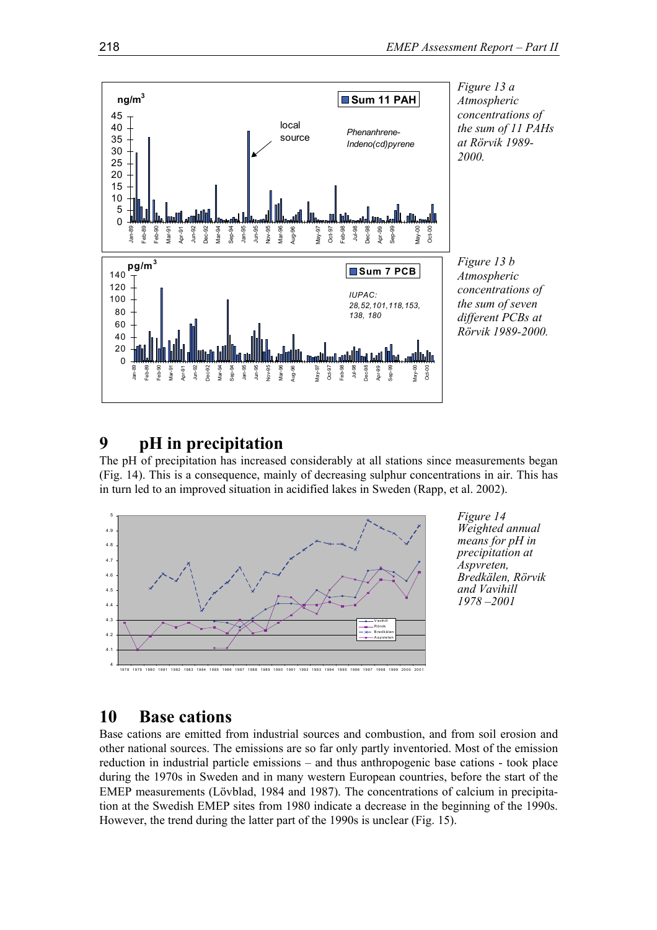

### **9 pH in precipitation**

The pH of precipitation has increased considerably at all stations since measurements began (Fig. 14). This is a consequence, mainly of decreasing sulphur concentrations in air. This has in turn led to an improved situation in acidified lakes in Sweden (Rapp, et al. 2002).



*Figure 14 Weighted annual means for pH in precipitation at Aspvreten, Bredkälen, Rörvik and Vavihill 1978 –2001* 

### **10 Base cations**

Base cations are emitted from industrial sources and combustion, and from soil erosion and other national sources. The emissions are so far only partly inventoried. Most of the emission reduction in industrial particle emissions – and thus anthropogenic base cations - took place during the 1970s in Sweden and in many western European countries, before the start of the EMEP measurements (Lövblad, 1984 and 1987). The concentrations of calcium in precipitation at the Swedish EMEP sites from 1980 indicate a decrease in the beginning of the 1990s. However, the trend during the latter part of the 1990s is unclear (Fig. 15).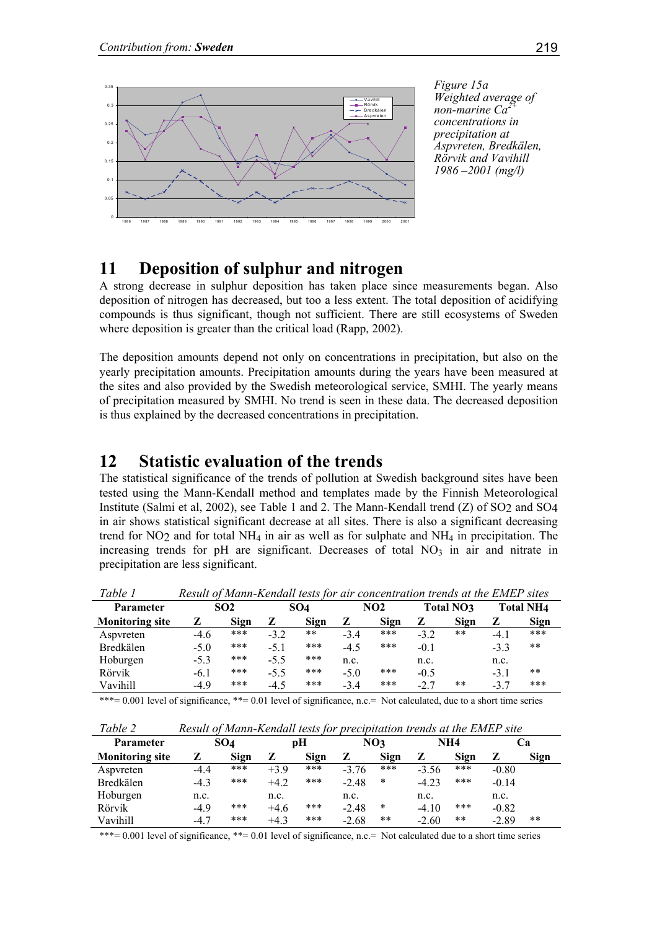

*Figure 15a Weighted average of non-marine Ca2+ concentrations in precipitation at Aspvreten, Bredkälen, Rörvik and Vavihill 1986 –2001 (mg/l)* 

# **11 Deposition of sulphur and nitrogen**

A strong decrease in sulphur deposition has taken place since measurements began. Also deposition of nitrogen has decreased, but too a less extent. The total deposition of acidifying compounds is thus significant, though not sufficient. There are still ecosystems of Sweden where deposition is greater than the critical load (Rapp, 2002).

The deposition amounts depend not only on concentrations in precipitation, but also on the yearly precipitation amounts. Precipitation amounts during the years have been measured at the sites and also provided by the Swedish meteorological service, SMHI. The yearly means of precipitation measured by SMHI. No trend is seen in these data. The decreased deposition is thus explained by the decreased concentrations in precipitation.

# **12 Statistic evaluation of the trends**

The statistical significance of the trends of pollution at Swedish background sites have been tested using the Mann-Kendall method and templates made by the Finnish Meteorological Institute (Salmi et al, 2002), see Table 1 and 2. The Mann-Kendall trend (Z) of SO2 and SO4 in air shows statistical significant decrease at all sites. There is also a significant decreasing trend for NO<sub>2</sub> and for total NH<sub>4</sub> in air as well as for sulphate and NH<sub>4</sub> in precipitation. The increasing trends for pH are significant. Decreases of total  $NO<sub>3</sub>$  in air and nitrate in precipitation are less significant.

| Tuvie 1<br>Result of Mahn-Kenaali lesis for all concentration trends at the EMET sites |        |                 |        |       |        |      |        |           |        |                  |
|----------------------------------------------------------------------------------------|--------|-----------------|--------|-------|--------|------|--------|-----------|--------|------------------|
| Parameter                                                                              |        | SO <sub>2</sub> |        | SO4   |        | NO2  |        | Total NO3 |        | <b>Total NH4</b> |
| <b>Monitoring site</b>                                                                 | z      | Sign            | z      | Sign  | z      | Sign | z      | Sign      | z      | Sign             |
| Aspyreten                                                                              | $-4.6$ | ***             | $-3.2$ | $* *$ | $-3.4$ | ***  | $-3.2$ | $***$     | $-4.1$ | ***              |
| Bredkälen                                                                              | $-5.0$ | ***             | $-5.1$ | ***   | $-4.5$ | ***  | $-0.1$ |           | $-3.3$ | **               |
| Hoburgen                                                                               | $-5.3$ | ***             | $-5.5$ | ***   | n.c.   |      | n.c.   |           | n.c.   |                  |
| Rörvik                                                                                 | $-6.1$ | ***             | $-5.5$ | ***   | $-5.0$ | ***  | $-0.5$ |           | $-3.1$ | **               |
| Vavihill                                                                               | $-4.9$ | ***             | $-4.5$ | ***   | $-3.4$ | ***  | $-2.7$ | **        | $-3.7$ | ***              |

*Table 1 Result of Mann-Kendall tests for air concentration trends at the EMEP sites*

\*\*\*= 0.001 level of significance, \*\*= 0.01 level of significance, n.c.= Not calculated, due to a short time series

| Tuvic 4<br>Result of Mann-Kendah lesis for precipitation trends at the Emer site |        |                 |        |             |         |       |         |       |         |             |
|----------------------------------------------------------------------------------|--------|-----------------|--------|-------------|---------|-------|---------|-------|---------|-------------|
| Parameter                                                                        |        | SO <sub>4</sub> |        | pН          |         | NO3   |         | NH4   |         | Cа          |
| <b>Monitoring site</b>                                                           | z      | Sign            | z      | <b>Sign</b> | z       | Sign  | z       | Sign  | z       | <b>Sign</b> |
| Aspyreten                                                                        | $-4.4$ | ***             | $+3.9$ | ***         | $-3.76$ | ***   | $-3.56$ | ***   | $-0.80$ |             |
| Bredkälen                                                                        | $-4.3$ | ***             | $+4.2$ | ***         | $-2.48$ | *     | $-4.23$ | ***   | $-0.14$ |             |
| Hoburgen                                                                         | n.c.   |                 | n.c.   |             | n.c.    |       | n.c.    |       | n.c.    |             |
| Rörvik                                                                           | $-4.9$ | ***             | $+4.6$ | ***         | $-2.48$ | *     | $-4.10$ | ***   | $-0.82$ |             |
| Vavihill                                                                         | $-4.7$ | ***             | $+4.3$ | ***         | $-2.68$ | $***$ | $-2.60$ | $***$ | $-2.89$ | $***$       |

*Table 2 Result of Mann-Kendall tests for precipitation trends at the EMEP site*

\*\*\*= 0.001 level of significance, \*\*= 0.01 level of significance, n.c.= Not calculated due to a short time series